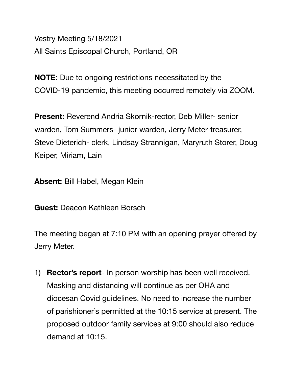Vestry Meeting 5/18/2021 All Saints Episcopal Church, Portland, OR

**NOTE**: Due to ongoing restrictions necessitated by the COVID-19 pandemic, this meeting occurred remotely via ZOOM.

**Present:** Reverend Andria Skornik-rector, Deb Miller- senior warden, Tom Summers- junior warden, Jerry Meter-treasurer, Steve Dieterich- clerk, Lindsay Strannigan, Maryruth Storer, Doug Keiper, Miriam, Lain

**Absent:** Bill Habel, Megan Klein

**Guest:** Deacon Kathleen Borsch

The meeting began at 7:10 PM with an opening prayer offered by Jerry Meter.

1) **Rector's report**- In person worship has been well received. Masking and distancing will continue as per OHA and diocesan Covid guidelines. No need to increase the number of parishioner's permitted at the 10:15 service at present. The proposed outdoor family services at 9:00 should also reduce demand at 10:15.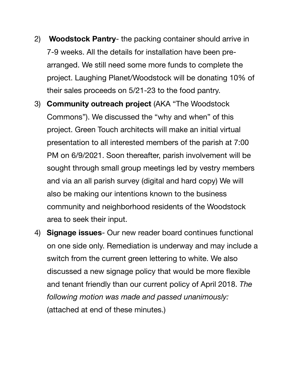- 2) **Woodstock Pantry** the packing container should arrive in 7-9 weeks. All the details for installation have been prearranged. We still need some more funds to complete the project. Laughing Planet/Woodstock will be donating 10% of their sales proceeds on 5/21-23 to the food pantry.
- 3) **Community outreach project** (AKA "The Woodstock Commons"). We discussed the "why and when" of this project. Green Touch architects will make an initial virtual presentation to all interested members of the parish at 7:00 PM on 6/9/2021. Soon thereafter, parish involvement will be sought through small group meetings led by vestry members and via an all parish survey (digital and hard copy) We will also be making our intentions known to the business community and neighborhood residents of the Woodstock area to seek their input.
- 4) **Signage issues** Our new reader board continues functional on one side only. Remediation is underway and may include a switch from the current green lettering to white. We also discussed a new signage policy that would be more flexible and tenant friendly than our current policy of April 2018. *The following motion was made and passed unanimously:*  (attached at end of these minutes.)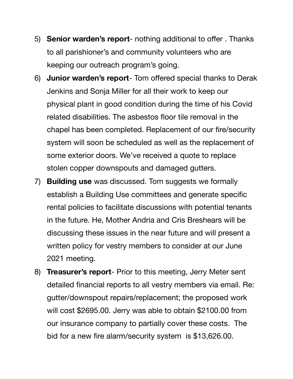- 5) **Senior warden's report** nothing additional to offer . Thanks to all parishioner's and community volunteers who are keeping our outreach program's going.
- 6) **Junior warden's report** Tom offered special thanks to Derak Jenkins and Sonja Miller for all their work to keep our physical plant in good condition during the time of his Covid related disabilities. The asbestos floor tile removal in the chapel has been completed. Replacement of our fire/security system will soon be scheduled as well as the replacement of some exterior doors. We've received a quote to replace stolen copper downspouts and damaged gutters.
- 7) **Building use** was discussed. Tom suggests we formally establish a Building Use committees and generate specific rental policies to facilitate discussions with potential tenants in the future. He, Mother Andria and Cris Breshears will be discussing these issues in the near future and will present a written policy for vestry members to consider at our June 2021 meeting.
- 8) **Treasurer's report** Prior to this meeting, Jerry Meter sent detailed financial reports to all vestry members via email. Re: gutter/downspout repairs/replacement; the proposed work will cost \$2695.00. Jerry was able to obtain \$2100.00 from our insurance company to partially cover these costs. The bid for a new fire alarm/security system is \$13,626.00.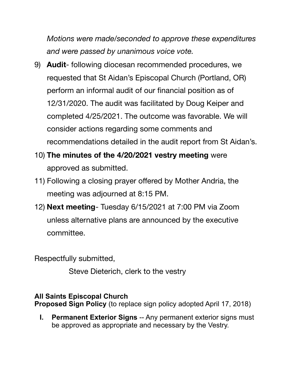*Motions were made/seconded to approve these expenditures and were passed by unanimous voice vote.* 

- 9) **Audit** following diocesan recommended procedures, we requested that St Aidan's Episcopal Church (Portland, OR) perform an informal audit of our financial position as of 12/31/2020. The audit was facilitated by Doug Keiper and completed 4/25/2021. The outcome was favorable. We will consider actions regarding some comments and recommendations detailed in the audit report from St Aidan's.
- 10) **The minutes of the 4/20/2021 vestry meeting** were approved as submitted.
- 11) Following a closing prayer offered by Mother Andria, the meeting was adjourned at 8:15 PM.
- 12) **Next meeting** Tuesday 6/15/2021 at 7:00 PM via Zoom unless alternative plans are announced by the executive committee.

Respectfully submitted,

 Steve Dieterich, clerk to the vestry

## **All Saints Episcopal Church**

**Proposed Sign Policy** (to replace sign policy adopted April 17, 2018)

**I.** Permanent Exterior Signs -- Any permanent exterior signs must be approved as appropriate and necessary by the Vestry.